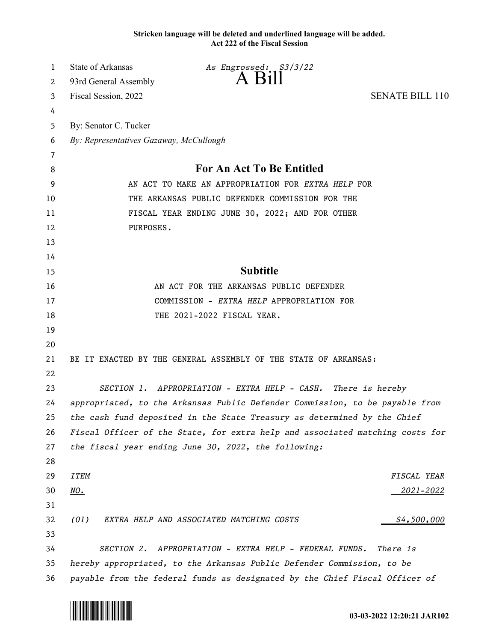**Stricken language will be deleted and underlined language will be added. Act 222 of the Fiscal Session**

| 1  | <b>State of Arkansas</b>                                                     | As Engrossed: \$3/3/22                                                        |                        |
|----|------------------------------------------------------------------------------|-------------------------------------------------------------------------------|------------------------|
| 2  | 93rd General Assembly                                                        | $A$ B <sub>1</sub> $\parallel$                                                |                        |
| 3  | Fiscal Session, 2022                                                         |                                                                               | <b>SENATE BILL 110</b> |
| 4  |                                                                              |                                                                               |                        |
| 5  | By: Senator C. Tucker                                                        |                                                                               |                        |
| 6  | By: Representatives Gazaway, McCullough                                      |                                                                               |                        |
| 7  |                                                                              |                                                                               |                        |
| 8  | For An Act To Be Entitled                                                    |                                                                               |                        |
| 9  | AN ACT TO MAKE AN APPROPRIATION FOR EXTRA HELP FOR                           |                                                                               |                        |
| 10 | THE ARKANSAS PUBLIC DEFENDER COMMISSION FOR THE                              |                                                                               |                        |
| 11 | FISCAL YEAR ENDING JUNE 30, 2022; AND FOR OTHER                              |                                                                               |                        |
| 12 | PURPOSES.                                                                    |                                                                               |                        |
| 13 |                                                                              |                                                                               |                        |
| 14 |                                                                              |                                                                               |                        |
| 15 |                                                                              | <b>Subtitle</b>                                                               |                        |
| 16 |                                                                              | AN ACT FOR THE ARKANSAS PUBLIC DEFENDER                                       |                        |
| 17 | COMMISSION - EXTRA HELP APPROPRIATION FOR                                    |                                                                               |                        |
| 18 |                                                                              | THE 2021-2022 FISCAL YEAR.                                                    |                        |
| 19 |                                                                              |                                                                               |                        |
| 20 |                                                                              |                                                                               |                        |
| 21 |                                                                              | BE IT ENACTED BY THE GENERAL ASSEMBLY OF THE STATE OF ARKANSAS:               |                        |
| 22 |                                                                              |                                                                               |                        |
| 23 |                                                                              | SECTION 1. APPROPRIATION - EXTRA HELP - CASH. There is hereby                 |                        |
| 24 | appropriated, to the Arkansas Public Defender Commission, to be payable from |                                                                               |                        |
| 25 |                                                                              | the cash fund deposited in the State Treasury as determined by the Chief      |                        |
| 26 |                                                                              | Fiscal Officer of the State, for extra help and associated matching costs for |                        |
| 27 |                                                                              | the fiscal year ending June 30, 2022, the following:                          |                        |
| 28 |                                                                              |                                                                               |                        |
| 29 | <b>ITEM</b>                                                                  |                                                                               | FISCAL YEAR            |
| 30 | <u>NO.</u>                                                                   |                                                                               | <u> 2021–2022</u>      |
| 31 |                                                                              |                                                                               |                        |
| 32 | (01)                                                                         | EXTRA HELP AND ASSOCIATED MATCHING COSTS                                      | \$4,500,000            |
| 33 |                                                                              |                                                                               |                        |
| 34 | <i>SECTION 2.</i>                                                            | APPROPRIATION - EXTRA HELP - FEDERAL FUNDS.                                   | There is               |
| 35 | hereby appropriated, to the Arkansas Public Defender Commission, to be       |                                                                               |                        |
| 36 | payable from the federal funds as designated by the Chief Fiscal Officer of  |                                                                               |                        |

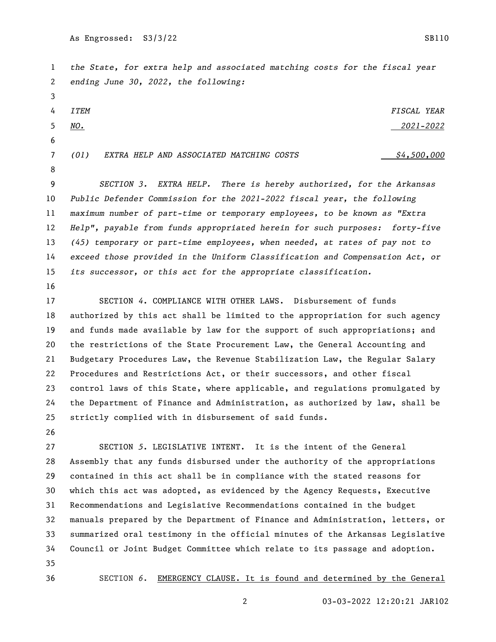*the State, for extra help and associated matching costs for the fiscal year ending June 30, 2022, the following: ITEM FISCAL YEAR NO. 2021-2022 (01)* EXTRA HELP AND ASSOCIATED MATCHING COSTS  $\frac{64,500,000}{2}$  *SECTION 3. EXTRA HELP. There is hereby authorized, for the Arkansas Public Defender Commission for the 2021-2022 fiscal year, the following maximum number of part-time or temporary employees, to be known as "Extra Help", payable from funds appropriated herein for such purposes: forty-five (45) temporary or part-time employees, when needed, at rates of pay not to exceed those provided in the Uniform Classification and Compensation Act, or its successor, or this act for the appropriate classification.* 

 SECTION *4*. COMPLIANCE WITH OTHER LAWS. Disbursement of funds authorized by this act shall be limited to the appropriation for such agency and funds made available by law for the support of such appropriations; and the restrictions of the State Procurement Law, the General Accounting and Budgetary Procedures Law, the Revenue Stabilization Law, the Regular Salary Procedures and Restrictions Act, or their successors, and other fiscal control laws of this State, where applicable, and regulations promulgated by the Department of Finance and Administration, as authorized by law, shall be strictly complied with in disbursement of said funds.

 SECTION *5*. LEGISLATIVE INTENT. It is the intent of the General Assembly that any funds disbursed under the authority of the appropriations contained in this act shall be in compliance with the stated reasons for which this act was adopted, as evidenced by the Agency Requests, Executive Recommendations and Legislative Recommendations contained in the budget manuals prepared by the Department of Finance and Administration, letters, or summarized oral testimony in the official minutes of the Arkansas Legislative Council or Joint Budget Committee which relate to its passage and adoption. 

SECTION *6*. EMERGENCY CLAUSE. It is found and determined by the General